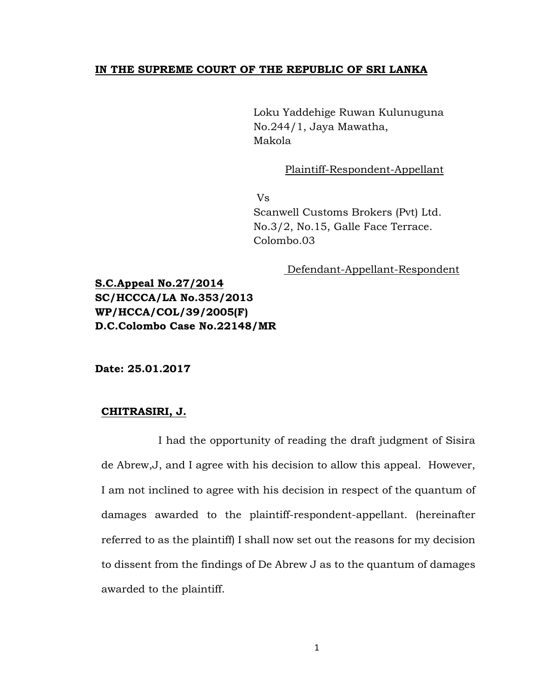## **IN THE SUPREME COURT OF THE REPUBLIC OF SRI LANKA**

Loku Yaddehige Ruwan Kulunuguna No.244/1, Jaya Mawatha, Makola

Plaintiff-Respondent-Appellant

Vs

 Scanwell Customs Brokers (Pvt) Ltd. No.3/2, No.15, Galle Face Terrace. Colombo.03

Defendant-Appellant-Respondent

**S.C.Appeal No.27/2014 SC/HCCCA/LA No.353/2013 WP/HCCA/COL/39/2005(F) D.C.Colombo Case No.22148/MR** 

**Date: 25.01.2017**

## **CHITRASIRI, J.**

I had the opportunity of reading the draft judgment of Sisira de Abrew,J, and I agree with his decision to allow this appeal. However, I am not inclined to agree with his decision in respect of the quantum of damages awarded to the plaintiff-respondent-appellant. (hereinafter referred to as the plaintiff) I shall now set out the reasons for my decision to dissent from the findings of De Abrew J as to the quantum of damages awarded to the plaintiff.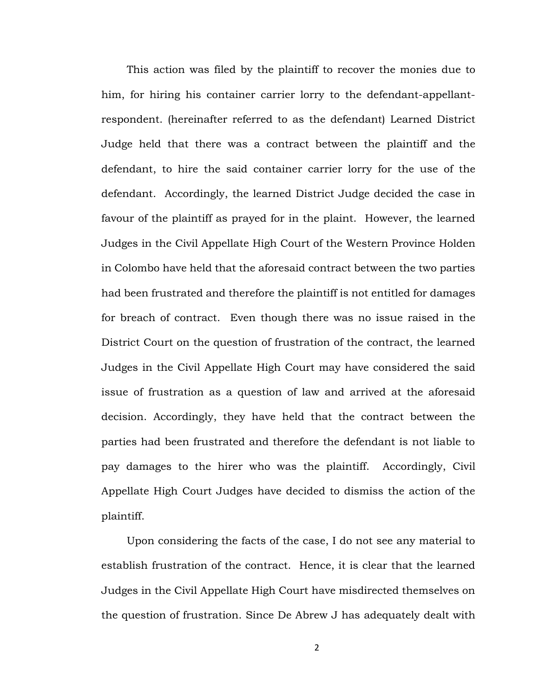This action was filed by the plaintiff to recover the monies due to him, for hiring his container carrier lorry to the defendant-appellantrespondent. (hereinafter referred to as the defendant) Learned District Judge held that there was a contract between the plaintiff and the defendant, to hire the said container carrier lorry for the use of the defendant. Accordingly, the learned District Judge decided the case in favour of the plaintiff as prayed for in the plaint. However, the learned Judges in the Civil Appellate High Court of the Western Province Holden in Colombo have held that the aforesaid contract between the two parties had been frustrated and therefore the plaintiff is not entitled for damages for breach of contract. Even though there was no issue raised in the District Court on the question of frustration of the contract, the learned Judges in the Civil Appellate High Court may have considered the said issue of frustration as a question of law and arrived at the aforesaid decision. Accordingly, they have held that the contract between the parties had been frustrated and therefore the defendant is not liable to pay damages to the hirer who was the plaintiff. Accordingly, Civil Appellate High Court Judges have decided to dismiss the action of the plaintiff.

Upon considering the facts of the case, I do not see any material to establish frustration of the contract. Hence, it is clear that the learned Judges in the Civil Appellate High Court have misdirected themselves on the question of frustration. Since De Abrew J has adequately dealt with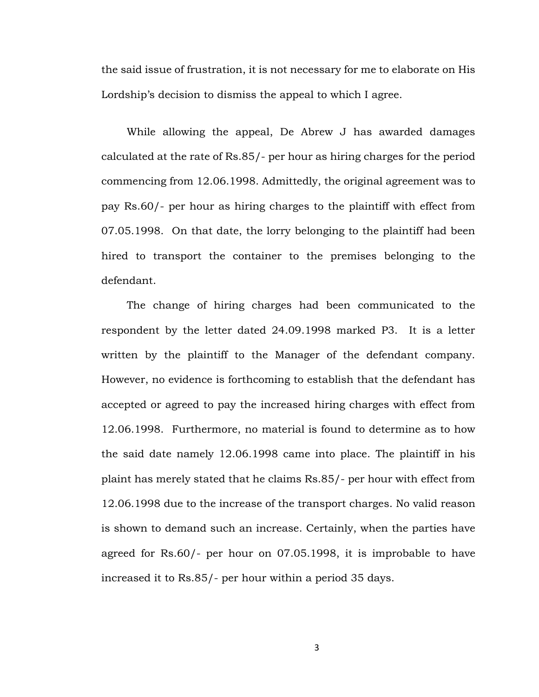the said issue of frustration, it is not necessary for me to elaborate on His Lordship's decision to dismiss the appeal to which I agree.

While allowing the appeal, De Abrew J has awarded damages calculated at the rate of Rs.85/- per hour as hiring charges for the period commencing from 12.06.1998. Admittedly, the original agreement was to pay Rs.60/- per hour as hiring charges to the plaintiff with effect from 07.05.1998. On that date, the lorry belonging to the plaintiff had been hired to transport the container to the premises belonging to the defendant.

The change of hiring charges had been communicated to the respondent by the letter dated 24.09.1998 marked P3. It is a letter written by the plaintiff to the Manager of the defendant company. However, no evidence is forthcoming to establish that the defendant has accepted or agreed to pay the increased hiring charges with effect from 12.06.1998. Furthermore, no material is found to determine as to how the said date namely 12.06.1998 came into place. The plaintiff in his plaint has merely stated that he claims Rs.85/- per hour with effect from 12.06.1998 due to the increase of the transport charges. No valid reason is shown to demand such an increase. Certainly, when the parties have agreed for Rs.60/- per hour on 07.05.1998, it is improbable to have increased it to Rs.85/- per hour within a period 35 days.

3